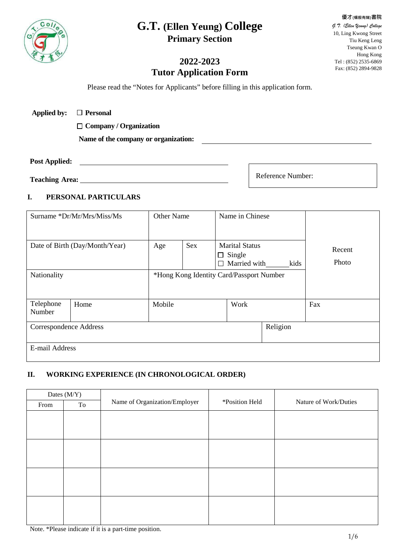# **G.T. (Ellen Yeung) College Primary Section**



#### *G.T. (Ellen Yeung) College* 10, Ling Kwong Street Tiu Keng Leng Tseung Kwan O Hong Kong Tel : (852) 2535-6869 Fax: (852) 2894-9828

**優才(楊殷有娣)書院**

# **2022-2023 Tutor Application Form**

Please read the "Notes for Applicants" before filling in this application form.

| <b>Applied by:</b> | $\Box$ Personal |
|--------------------|-----------------|
|--------------------|-----------------|

**Company / Organization**

**Name of the company or organization:**

#### **Post Applied:**

**Teaching Area:**

Reference Number:

#### **I. PERSONAL PARTICULARS**

| Surname *Dr/Mr/Mrs/Miss/Ms     |      | <b>Other Name</b>                        |     | Name in Chinese                                                         |          |                 |
|--------------------------------|------|------------------------------------------|-----|-------------------------------------------------------------------------|----------|-----------------|
| Date of Birth (Day/Month/Year) |      | Age                                      | Sex | <b>Marital Status</b><br>Single<br>$\Box$<br>Married with<br>kids<br>П. |          | Recent<br>Photo |
| Nationality                    |      | *Hong Kong Identity Card/Passport Number |     |                                                                         |          |                 |
| Telephone<br>Number            | Home | Mobile                                   |     | Work                                                                    |          | Fax             |
| Correspondence Address         |      |                                          |     |                                                                         | Religion |                 |
| E-mail Address                 |      |                                          |     |                                                                         |          |                 |

## **II. WORKING EXPERIENCE (IN CHRONOLOGICAL ORDER)**

| Dates (M/Y) |    |                               |                |                       |  |  |
|-------------|----|-------------------------------|----------------|-----------------------|--|--|
| From        | To | Name of Organization/Employer | *Position Held | Nature of Work/Duties |  |  |
|             |    |                               |                |                       |  |  |
|             |    |                               |                |                       |  |  |
|             |    |                               |                |                       |  |  |
|             |    |                               |                |                       |  |  |
|             |    |                               |                |                       |  |  |
|             |    |                               |                |                       |  |  |
|             |    |                               |                |                       |  |  |
|             |    |                               |                |                       |  |  |
|             |    |                               |                |                       |  |  |
|             |    |                               |                |                       |  |  |
|             |    |                               |                |                       |  |  |

Note. \*Please indicate if it is a part-time position.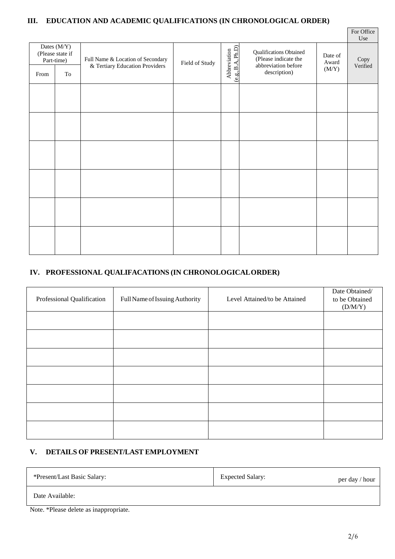# **III. EDUCATION AND ACADEMIC QUALIFICATIONS (IN CHRONOLOGICAL ORDER)**

|                                                                              |  |                                                                     |                |                                   |                                                                                               |                           | For Office<br>Use |
|------------------------------------------------------------------------------|--|---------------------------------------------------------------------|----------------|-----------------------------------|-----------------------------------------------------------------------------------------------|---------------------------|-------------------|
| Dates (M/Y)<br>(Please state if<br>Part-time)<br>$\operatorname{To}$<br>From |  | Full Name & Location of Secondary<br>& Tertiary Education Providers | Field of Study | Abbreviation<br>(e.g., B.A, Ph.D) | <b>Qualifications Obtained</b><br>(Please indicate the<br>abbreviation before<br>description) | Date of<br>Award<br>(M/Y) | Copy<br>Verified  |
|                                                                              |  |                                                                     |                |                                   |                                                                                               |                           |                   |
|                                                                              |  |                                                                     |                |                                   |                                                                                               |                           |                   |
|                                                                              |  |                                                                     |                |                                   |                                                                                               |                           |                   |
|                                                                              |  |                                                                     |                |                                   |                                                                                               |                           |                   |
|                                                                              |  |                                                                     |                |                                   |                                                                                               |                           |                   |
|                                                                              |  |                                                                     |                |                                   |                                                                                               |                           |                   |

### **IV. PROFESSIONAL QUALIFACATIONS (IN CHRONOLOGICALORDER)**

| Professional Qualification | Full Name of Issuing Authority | Level Attained/to be Attained | Date Obtained/<br>to be Obtained<br>(D/M/Y) |
|----------------------------|--------------------------------|-------------------------------|---------------------------------------------|
|                            |                                |                               |                                             |
|                            |                                |                               |                                             |
|                            |                                |                               |                                             |
|                            |                                |                               |                                             |
|                            |                                |                               |                                             |
|                            |                                |                               |                                             |
|                            |                                |                               |                                             |

## **V. DETAILS OF PRESENT/LAST EMPLOYMENT**

| *Present/Last Basic Salary: | <b>Expected Salary:</b> | per day / hour |
|-----------------------------|-------------------------|----------------|
| Date Available:             |                         |                |

Note. \*Please delete as inappropriate.